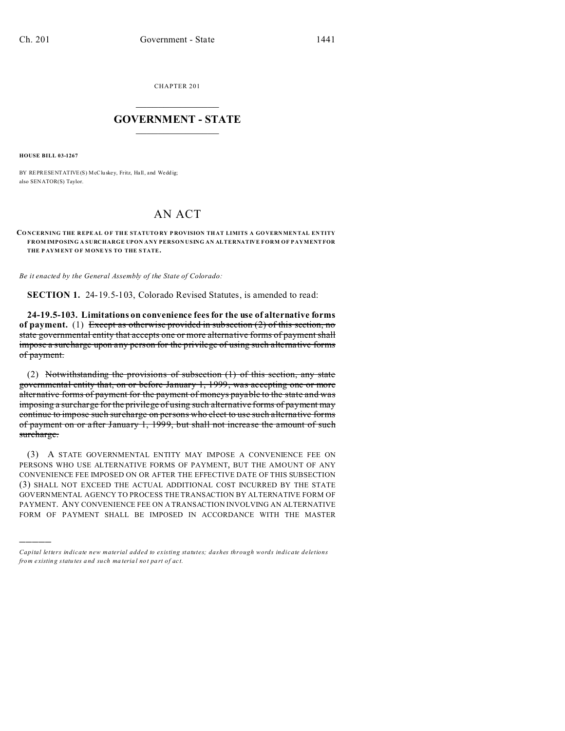CHAPTER 201  $\overline{\phantom{a}}$  , where  $\overline{\phantom{a}}$ 

## **GOVERNMENT - STATE**  $\_$   $\_$

**HOUSE BILL 03-1267**

)))))

BY REPRESENTATIVE(S) McCluskey, Fritz, Hall, and Weddig; also SENATOR(S) Taylor.

## AN ACT

**CO NCERNING THE R EPE AL OF THE STATUTO RY P ROVISION TH AT LIMITS A GO VERNMEN TAL EN TITY FROM IMPOSING A SURCHARGE UPON ANY PERSON USING AN ALTERNATIVE FORM OF PAYMENT FOR THE P AYM ENT OF MONE YS TO THE STATE.**

*Be it enacted by the General Assembly of the State of Colorado:*

**SECTION 1.** 24-19.5-103, Colorado Revised Statutes, is amended to read:

**24-19.5-103. Limitations on convenience fees for the use of alternative forms of payment.** (1) Except as otherwise provided in subsection (2) of this section, no state governmental entity that accepts one or more alternative forms of payment shall impose a surcharge upon any person for the privilege of using such alternative forms of payment.

(2) Notwithstanding the provisions of subsection (1) of this section, any state governmental entity that, on or before January 1, 1999, was accepting one or more alternative forms of payment for the payment of moneys payable to the state and was imposing a surcharge for the privilege of using such alternative forms of payment may continue to impose such surcharge on persons who elect to use such alternative forms of payment on or after January 1, 1999, but shall not increase the amount of such surcharge.

(3) A STATE GOVERNMENTAL ENTITY MAY IMPOSE A CONVENIENCE FEE ON PERSONS WHO USE ALTERNATIVE FORMS OF PAYMENT, BUT THE AMOUNT OF ANY CONVENIENCE FEE IMPOSED ON OR AFTER THE EFFECTIVE DATE OF THIS SUBSECTION (3) SHALL NOT EXCEED THE ACTUAL ADDITIONAL COST INCURRED BY THE STATE GOVERNMENTAL AGENCY TO PROCESS THE TRANSACTION BY ALTERNATIVE FORM OF PAYMENT. ANY CONVENIENCE FEE ON A TRANSACTION INVOLVING AN ALTERNATIVE FORM OF PAYMENT SHALL BE IMPOSED IN ACCORDANCE WITH THE MASTER

*Capital letters indicate new material added to existing statutes; dashes through words indicate deletions from e xistin g statu tes a nd such ma teria l no t pa rt of ac t.*